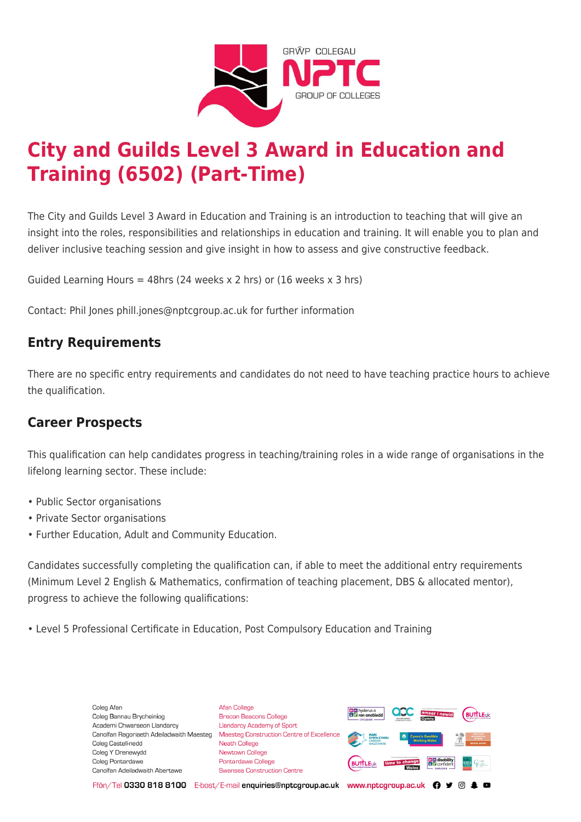

# **City and Guilds Level 3 Award in Education and Training (6502) (Part-Time)**

The City and Guilds Level 3 Award in Education and Training is an introduction to teaching that will give an insight into the roles, responsibilities and relationships in education and training. It will enable you to plan and deliver inclusive teaching session and give insight in how to assess and give constructive feedback.

Guided Learning Hours = 48hrs (24 weeks x 2 hrs) or (16 weeks x 3 hrs)

Contact: Phil Jones phill.jones@nptcgroup.ac.uk for further information

## **Entry Requirements**

There are no specific entry requirements and candidates do not need to have teaching practice hours to achieve the qualification.

## **Career Prospects**

This qualification can help candidates progress in teaching/training roles in a wide range of organisations in the lifelong learning sector. These include:

- Public Sector organisations
- Private Sector organisations
- Further Education, Adult and Community Education.

Candidates successfully completing the qualification can, if able to meet the additional entry requirements (Minimum Level 2 English & Mathematics, confirmation of teaching placement, DBS & allocated mentor), progress to achieve the following qualifications:

• Level 5 Professional Certificate in Education, Post Compulsory Education and Training

Coleg Afar Coleg Bannau Brycheiniog Academi Chwaraeon Llandarcy Canolfan Ragoriaeth Adeiladwaith Maesteg Coleg Castell-nedd Coleg Y Drenewydd Coleg Pontardawe Canolfan Adeiladwaith Abertawe

**Afan College** Brecon Beacons College **Llandarcy Academy of Sport** Maesteg Construction Centre of Excellence Neath College Newtown College **Pontardawe College** Swansea Construction Centre



Ffôn/Tel 0330 818 8100 E-bost/E-mail enquiries@nptcgroup.ac.uk www.nptcgroup.ac.uk ? • © \$